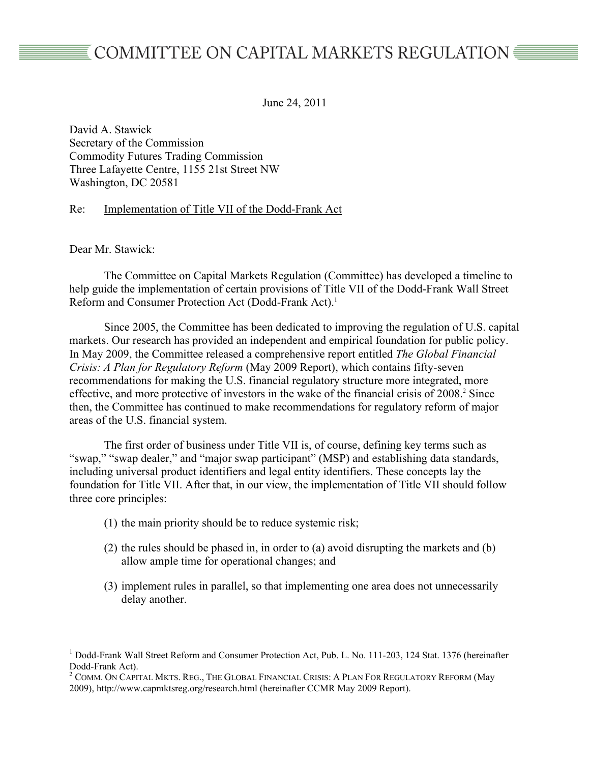June 24, 2011

David A. Stawick Secretary of the Commission Commodity Futures Trading Commission Three Lafayette Centre, 1155 21st Street NW Washington, DC 20581

Re: Implementation of Title VII of the Dodd-Frank Act

Dear Mr. Stawick:

The Committee on Capital Markets Regulation (Committee) has developed a timeline to help guide the implementation of certain provisions of Title VII of the Dodd-Frank Wall Street Reform and Consumer Protection Act (Dodd-Frank Act).<sup>1</sup>

Since 2005, the Committee has been dedicated to improving the regulation of U.S. capital markets. Our research has provided an independent and empirical foundation for public policy. In May 2009, the Committee released a comprehensive report entitled *The Global Financial Crisis: A Plan for Regulatory Reform* (May 2009 Report), which contains fifty-seven recommendations for making the U.S. financial regulatory structure more integrated, more effective, and more protective of investors in the wake of the financial crisis of 2008.<sup>2</sup> Since then, the Committee has continued to make recommendations for regulatory reform of major areas of the U.S. financial system.

The first order of business under Title VII is, of course, defining key terms such as "swap," "swap dealer," and "major swap participant" (MSP) and establishing data standards, including universal product identifiers and legal entity identifiers. These concepts lay the foundation for Title VII. After that, in our view, the implementation of Title VII should follow three core principles:

- (1) the main priority should be to reduce systemic risk;
- (2) the rules should be phased in, in order to (a) avoid disrupting the markets and (b) allow ample time for operational changes; and
- (3) implement rules in parallel, so that implementing one area does not unnecessarily delay another.

<sup>&</sup>lt;sup>1</sup> Dodd-Frank Wall Street Reform and Consumer Protection Act, Pub. L. No. 111-203, 124 Stat. 1376 (hereinafter Dodd-Frank Act).<br><sup>2</sup> COMM. ON CAPITAL MKTS. REG., THE GLOBAL FINANCIAL CRISIS: A PLAN FOR REGULATORY REFORM (May

<sup>2009),</sup> http://www.capmktsreg.org/research.html (hereinafter CCMR May 2009 Report).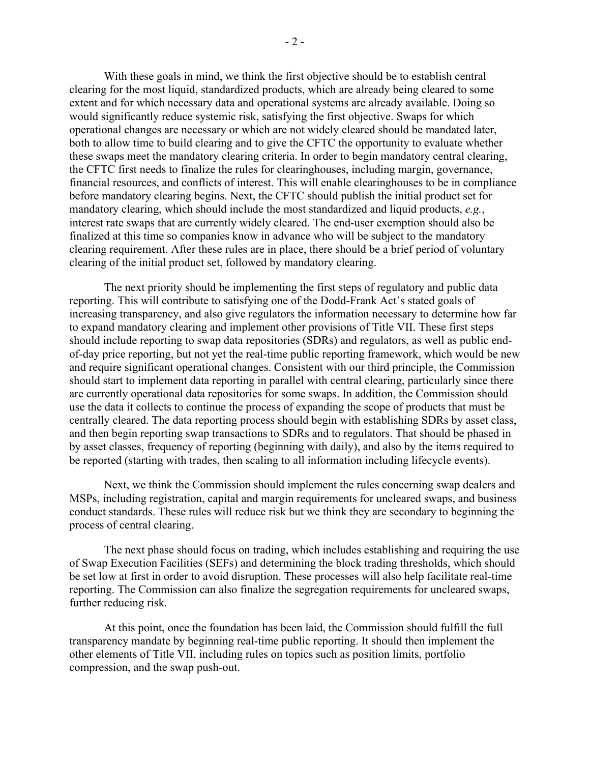With these goals in mind, we think the first objective should be to establish central clearing for the most liquid, standardized products, which are already being cleared to some extent and for which necessary data and operational systems are already available. Doing so would significantly reduce systemic risk, satisfying the first objective. Swaps for which operational changes are necessary or which are not widely cleared should be mandated later, both to allow time to build clearing and to give the CFTC the opportunity to evaluate whether these swaps meet the mandatory clearing criteria. In order to begin mandatory central clearing, the CFTC first needs to finalize the rules for clearinghouses, including margin, governance, financial resources, and conflicts of interest. This will enable clearinghouses to be in compliance before mandatory clearing begins. Next, the CFTC should publish the initial product set for mandatory clearing, which should include the most standardized and liquid products, *e.g.*, interest rate swaps that are currently widely cleared. The end-user exemption should also be finalized at this time so companies know in advance who will be subject to the mandatory clearing requirement. After these rules are in place, there should be a brief period of voluntary clearing of the initial product set, followed by mandatory clearing.

The next priority should be implementing the first steps of regulatory and public data reporting. This will contribute to satisfying one of the Dodd-Frank Act's stated goals of increasing transparency, and also give regulators the information necessary to determine how far to expand mandatory clearing and implement other provisions of Title VII. These first steps should include reporting to swap data repositories (SDRs) and regulators, as well as public endof-day price reporting, but not yet the real-time public reporting framework, which would be new and require significant operational changes. Consistent with our third principle, the Commission should start to implement data reporting in parallel with central clearing, particularly since there are currently operational data repositories for some swaps. In addition, the Commission should use the data it collects to continue the process of expanding the scope of products that must be centrally cleared. The data reporting process should begin with establishing SDRs by asset class, and then begin reporting swap transactions to SDRs and to regulators. That should be phased in by asset classes, frequency of reporting (beginning with daily), and also by the items required to be reported (starting with trades, then scaling to all information including lifecycle events).

Next, we think the Commission should implement the rules concerning swap dealers and MSPs, including registration, capital and margin requirements for uncleared swaps, and business conduct standards. These rules will reduce risk but we think they are secondary to beginning the process of central clearing.

The next phase should focus on trading, which includes establishing and requiring the use of Swap Execution Facilities (SEFs) and determining the block trading thresholds, which should be set low at first in order to avoid disruption. These processes will also help facilitate real-time reporting. The Commission can also finalize the segregation requirements for uncleared swaps, further reducing risk.

At this point, once the foundation has been laid, the Commission should fulfill the full transparency mandate by beginning real-time public reporting. It should then implement the other elements of Title VII, including rules on topics such as position limits, portfolio compression, and the swap push-out.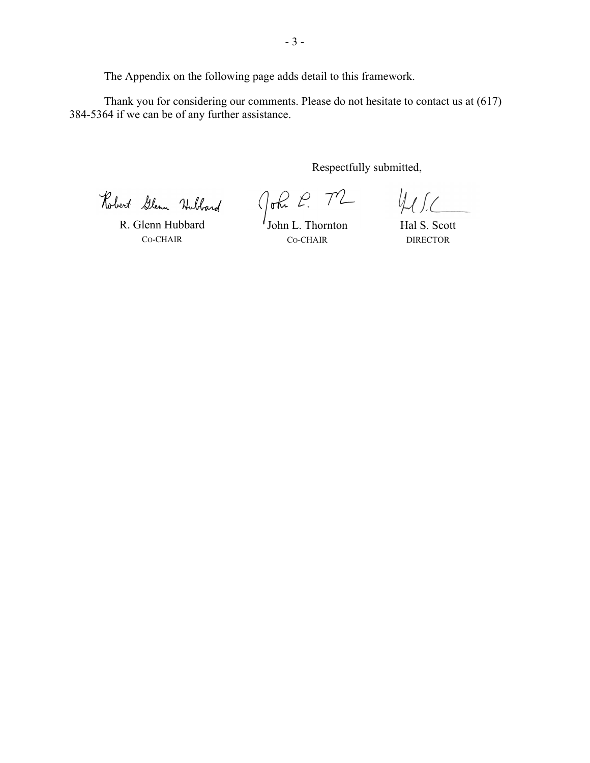The Appendix on the following page adds detail to this framework.

Thank you for considering our comments. Please do not hesitate to contact us at (617) 384-5364 if we can be of any further assistance.

Respectfully submitted,

Robert Glenn Hubbard

R. Glenn Hubbard CO-CHAIR

John L. Thornton

 $411$ 

CO-CHAIR

Hal S. Scott DIRECTOR